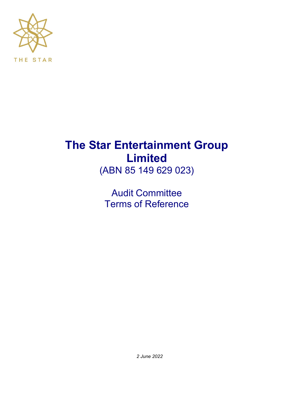

# **The Star Entertainment Group Limited**

(ABN 85 149 629 023)

Audit Committee Terms of Reference

*2 June 2022*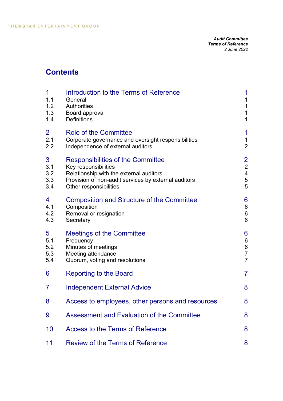# **Contents**

| 1<br>1.1<br>1.2<br>1.3<br>1.4 | Introduction to the Terms of Reference<br>General<br><b>Authorities</b><br>Board approval<br><b>Definitions</b>                                                                        | 1<br>$\mathbf{1}$<br>$\mathbf{1}$<br>$\mathbf 1$<br>$\mathbf{1}$                      |
|-------------------------------|----------------------------------------------------------------------------------------------------------------------------------------------------------------------------------------|---------------------------------------------------------------------------------------|
| $\overline{2}$<br>2.1<br>2.2  | Role of the Committee<br>Corporate governance and oversight responsibilities<br>Independence of external auditors                                                                      | 1<br>$\mathbf{1}$<br>$\overline{2}$                                                   |
| 3<br>3.1<br>3.2<br>3.3<br>3.4 | Responsibilities of the Committee<br>Key responsibilities<br>Relationship with the external auditors<br>Provision of non-audit services by external auditors<br>Other responsibilities | $\overline{2}$<br>$\overline{\mathbf{c}}$<br>$\overline{\mathbf{4}}$<br>$\frac{5}{5}$ |
| 4<br>4.1<br>4.2<br>4.3        | <b>Composition and Structure of the Committee</b><br>Composition<br>Removal or resignation<br>Secretary                                                                                | 6<br>$\,6$<br>$\,6$<br>$\,6$                                                          |
| 5<br>5.1<br>5.2<br>5.3<br>5.4 | <b>Meetings of the Committee</b><br>Frequency<br>Minutes of meetings<br>Meeting attendance<br>Quorum, voting and resolutions                                                           | 6<br>$6\phantom{a}$<br>$\boldsymbol{6}$<br>$\overline{7}$<br>$\overline{7}$           |
| 6                             | <b>Reporting to the Board</b>                                                                                                                                                          | $\overline{7}$                                                                        |
| 7                             | <b>Independent External Advice</b>                                                                                                                                                     | 8                                                                                     |
| 8                             | Access to employees, other persons and resources                                                                                                                                       | 8                                                                                     |
| 9                             | <b>Assessment and Evaluation of the Committee</b>                                                                                                                                      | 8                                                                                     |
| 10                            | <b>Access to the Terms of Reference</b>                                                                                                                                                | 8                                                                                     |
| 11                            | <b>Review of the Terms of Reference</b>                                                                                                                                                | 8                                                                                     |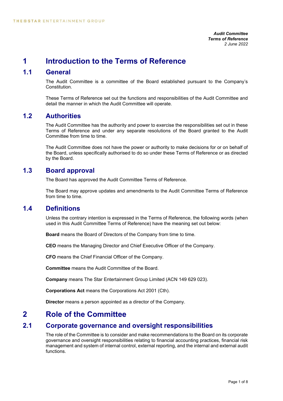## **1 Introduction to the Terms of Reference**

## **1.1 General**

The Audit Committee is a committee of the Board established pursuant to the Company's Constitution.

These Terms of Reference set out the functions and responsibilities of the Audit Committee and detail the manner in which the Audit Committee will operate.

#### **1.2 Authorities**

The Audit Committee has the authority and power to exercise the responsibilities set out in these Terms of Reference and under any separate resolutions of the Board granted to the Audit Committee from time to time.

The Audit Committee does not have the power or authority to make decisions for or on behalf of the Board, unless specifically authorised to do so under these Terms of Reference or as directed by the Board.

## **1.3 Board approval**

The Board has approved the Audit Committee Terms of Reference.

The Board may approve updates and amendments to the Audit Committee Terms of Reference from time to time.

#### **1.4 Definitions**

Unless the contrary intention is expressed in the Terms of Reference, the following words (when used in this Audit Committee Terms of Reference) have the meaning set out below:

**Board** means the Board of Directors of the Company from time to time.

**CEO** means the Managing Director and Chief Executive Officer of the Company.

**CFO** means the Chief Financial Officer of the Company.

**Committee** means the Audit Committee of the Board.

**Company** means The Star Entertainment Group Limited (ACN 149 629 023).

**Corporations Act** means the Corporations Act 2001 (Cth).

**Director** means a person appointed as a director of the Company.

## **2 Role of the Committee**

#### **2.1 Corporate governance and oversight responsibilities**

The role of the Committee is to consider and make recommendations to the Board on its corporate governance and oversight responsibilities relating to financial accounting practices, financial risk management and system of internal control, external reporting, and the internal and external audit functions.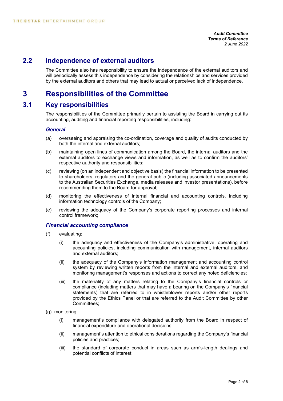#### **2.2 Independence of external auditors**

The Committee also has responsibility to ensure the independence of the external auditors and will periodically assess this independence by considering the relationships and services provided by the external auditors and others that may lead to actual or perceived lack of independence.

# **3 Responsibilities of the Committee**

#### **3.1 Key responsibilities**

The responsibilities of the Committee primarily pertain to assisting the Board in carrying out its accounting, auditing and financial reporting responsibilities, including:

#### *General*

- (a) overseeing and appraising the co-ordination, coverage and quality of audits conducted by both the internal and external auditors;
- (b) maintaining open lines of communication among the Board, the internal auditors and the external auditors to exchange views and information, as well as to confirm the auditors' respective authority and responsibilities;
- (c) reviewing (on an independent and objective basis) the financial information to be presented to shareholders, regulators and the general public (including associated announcements to the Australian Securities Exchange, media releases and investor presentations), before recommending them to the Board for approval;
- (d) monitoring the effectiveness of internal financial and accounting controls, including information technology controls of the Company;
- (e) reviewing the adequacy of the Company's corporate reporting processes and internal control framework;

#### *Financial accounting compliance*

- (f) evaluating:
	- (i) the adequacy and effectiveness of the Company's administrative, operating and accounting policies, including communication with management, internal auditors and external auditors;
	- (ii) the adequacy of the Company's information management and accounting control system by reviewing written reports from the internal and external auditors, and monitoring management's responses and actions to correct any noted deficiencies;
	- (iii) the materiality of any matters relating to the Company's financial controls or compliance (including matters that may have a bearing on the Company's financial statements) that are referred to in whistleblower reports and/or other reports provided by the Ethics Panel or that are referred to the Audit Committee by other Committees;
- (g) monitoring:
	- (i) management's compliance with delegated authority from the Board in respect of financial expenditure and operational decisions;
	- (ii) management's attention to ethical considerations regarding the Company's financial policies and practices;
	- (iii) the standard of corporate conduct in areas such as arm's-length dealings and potential conflicts of interest;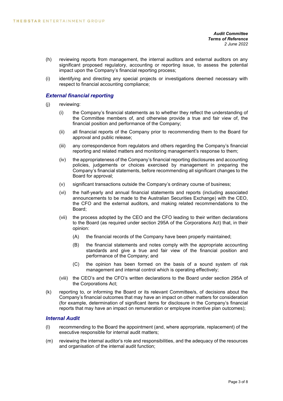- (h) reviewing reports from management, the internal auditors and external auditors on any significant proposed regulatory, accounting or reporting issue, to assess the potential impact upon the Company's financial reporting process;
- (i) identifying and directing any special projects or investigations deemed necessary with respect to financial accounting compliance;

#### *External financial reporting*

- (j) reviewing:
	- (i) the Company's financial statements as to whether they reflect the understanding of the Committee members of, and otherwise provide a true and fair view of, the financial position and performance of the Company;
	- (ii) all financial reports of the Company prior to recommending them to the Board for approval and public release;
	- (iii) any correspondence from regulators and others regarding the Company's financial reporting and related matters and monitoring management's response to them;
	- (iv) the appropriateness of the Company's financial reporting disclosures and accounting policies, judgements or choices exercised by management in preparing the Company's financial statements, before recommending all significant changes to the Board for approval;
	- (v) significant transactions outside the Company's ordinary course of business;
	- (vi) the half-yearly and annual financial statements and reports (including associated announcements to be made to the Australian Securities Exchange) with the CEO, the CFO and the external auditors, and making related recommendations to the Board;
	- (vii) the process adopted by the CEO and the CFO leading to their written declarations to the Board (as required under section 295A of the Corporations Act) that, in their opinion:
		- (A) the financial records of the Company have been properly maintained;
		- (B) the financial statements and notes comply with the appropriate accounting standards and give a true and fair view of the financial position and performance of the Company; and
		- (C) the opinion has been formed on the basis of a sound system of risk management and internal control which is operating effectively;
	- (viii) the CEO's and the CFO's written declarations to the Board under section 295A of the Corporations Act;
- (k) reporting to, or informing the Board or its relevant Committee/s, of decisions about the Company's financial outcomes that may have an impact on other matters for consideration (for example, determination of significant items for disclosure in the Company's financial reports that may have an impact on remuneration or employee incentive plan outcomes);

#### *Internal Audit*

- (l) recommending to the Board the appointment (and, where appropriate, replacement) of the executive responsible for internal audit matters;
- (m) reviewing the internal auditor's role and responsibilities, and the adequacy of the resources and organisation of the internal audit function;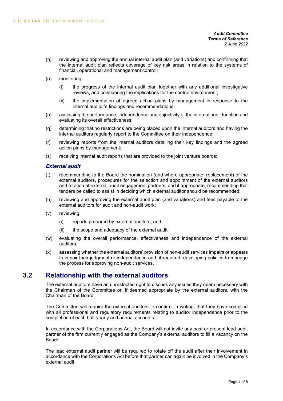- (n) reviewing and approving the annual internal audit plan (and variations) and confirming that the internal audit plan reflects coverage of key risk areas in relation to the systems of financial, operational and management control;
- (o) monitoring:
	- (i) the progress of the internal audit plan together with any additional investigative reviews, and considering the implications for the control environment;
	- (ii) the implementation of agreed action plans by management in response to the internal auditor's findings and recommendations;
- (p) assessing the performance, independence and objectivity of the internal audit function and evaluating its overall effectiveness;
- (q) determining that no restrictions are being placed upon the internal auditors and having the internal auditors regularly report to the Committee on their independence;
- (r) reviewing reports from the internal auditors detailing their key findings and the agreed action plans by management;
- (s) receiving internal audit reports that are provided to the joint venture boards;

#### *External audit*

- (t) recommending to the Board the nomination (and where appropriate, replacement) of the external auditors, procedures for the selection and appointment of the external auditors and rotation of external audit engagement partners, and if appropriate, recommending that tenders be called to assist in deciding which external auditor should be recommended;
- (u) reviewing and approving the external audit plan (and variations) and fees payable to the external auditors for audit and non-audit work;
- (v) reviewing:
	- (i) reports prepared by external auditors; and
	- (ii) the scope and adequacy of the external audit;
- (w) evaluating the overall performance, effectiveness and independence of the external auditors;
- (x) assessing whether the external auditors' provision of non-audit services impairs or appears to impair their judgment or independence and, if required, developing policies to manage the process for approving non-audit services.

#### **3.2 Relationship with the external auditors**

The external auditors have an unrestricted right to discuss any issues they deem necessary with the Chairman of the Committee or, if deemed appropriate by the external auditors, with the Chairman of the Board.

The Committee will require the external auditors to confirm, in writing, that they have complied with all professional and regulatory requirements relating to auditor independence prior to the completion of each half-yearly and annual accounts.

In accordance with the Corporations Act, the Board will not invite any past or present lead audit partner of the firm currently engaged as the Company's external auditors to fill a vacancy on the Board.

The lead external audit partner will be required to rotate off the audit after their involvement in accordance with the Corporations Act before that partner can again be involved in the Company's external audit.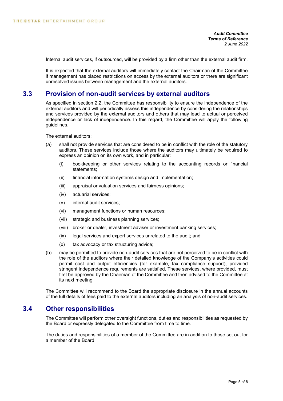Internal audit services, if outsourced, will be provided by a firm other than the external audit firm.

It is expected that the external auditors will immediately contact the Chairman of the Committee if management has placed restrictions on access by the external auditors or there are significant unresolved issues between management and the external auditors.

#### **3.3 Provision of non-audit services by external auditors**

As specified in section 2.2, the Committee has responsibility to ensure the independence of the external auditors and will periodically assess this independence by considering the relationships and services provided by the external auditors and others that may lead to actual or perceived independence or lack of independence. In this regard, the Committee will apply the following guidelines.

The external auditors:

- (a) shall not provide services that are considered to be in conflict with the role of the statutory auditors. These services include those where the auditors may ultimately be required to express an opinion on its own work, and in particular:
	- (i) bookkeeping or other services relating to the accounting records or financial statements;
	- (ii) financial information systems design and implementation;
	- (iii) appraisal or valuation services and fairness opinions;
	- (iv) actuarial services;
	- (v) internal audit services;
	- (vi) management functions or human resources;
	- (vii) strategic and business planning services;
	- (viii) broker or dealer, investment adviser or investment banking services;
	- (ix) legal services and expert services unrelated to the audit; and
	- (x) tax advocacy or tax structuring advice;
- (b) may be permitted to provide non-audit services that are not perceived to be in conflict with the role of the auditors where their detailed knowledge of the Company's activities could permit cost and output efficiencies (for example, tax compliance support), provided stringent independence requirements are satisfied. These services, where provided, must first be approved by the Chairman of the Committee and then advised to the Committee at its next meeting.

The Committee will recommend to the Board the appropriate disclosure in the annual accounts of the full details of fees paid to the external auditors including an analysis of non-audit services.

#### **3.4 Other responsibilities**

The Committee will perform other oversight functions, duties and responsibilities as requested by the Board or expressly delegated to the Committee from time to time.

The duties and responsibilities of a member of the Committee are in addition to those set out for a member of the Board.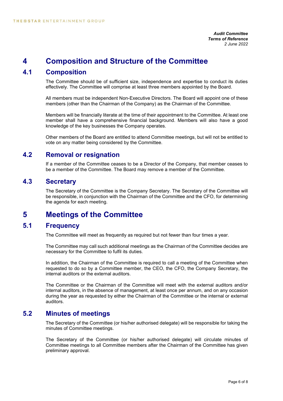# **4 Composition and Structure of the Committee**

## **4.1 Composition**

The Committee should be of sufficient size, independence and expertise to conduct its duties effectively. The Committee will comprise at least three members appointed by the Board.

All members must be independent Non-Executive Directors. The Board will appoint one of these members (other than the Chairman of the Company) as the Chairman of the Committee.

Members will be financially literate at the time of their appointment to the Committee. At least one member shall have a comprehensive financial background. Members will also have a good knowledge of the key businesses the Company operates.

Other members of the Board are entitled to attend Committee meetings, but will not be entitled to vote on any matter being considered by the Committee.

## **4.2 Removal or resignation**

If a member of the Committee ceases to be a Director of the Company, that member ceases to be a member of the Committee. The Board may remove a member of the Committee.

#### **4.3 Secretary**

The Secretary of the Committee is the Company Secretary. The Secretary of the Committee will be responsible, in conjunction with the Chairman of the Committee and the CFO, for determining the agenda for each meeting.

## **5 Meetings of the Committee**

#### **5.1 Frequency**

The Committee will meet as frequently as required but not fewer than four times a year.

The Committee may call such additional meetings as the Chairman of the Committee decides are necessary for the Committee to fulfil its duties.

In addition, the Chairman of the Committee is required to call a meeting of the Committee when requested to do so by a Committee member, the CEO, the CFO, the Company Secretary, the internal auditors or the external auditors.

The Committee or the Chairman of the Committee will meet with the external auditors and/or internal auditors, in the absence of management, at least once per annum, and on any occasion during the year as requested by either the Chairman of the Committee or the internal or external auditors.

#### **5.2 Minutes of meetings**

The Secretary of the Committee (or his/her authorised delegate) will be responsible for taking the minutes of Committee meetings.

The Secretary of the Committee (or his/her authorised delegate) will circulate minutes of Committee meetings to all Committee members after the Chairman of the Committee has given preliminary approval.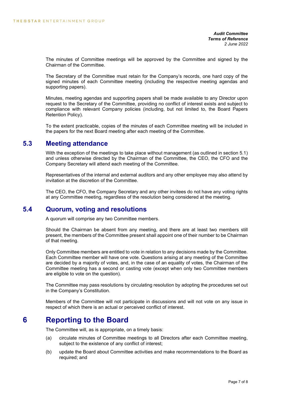The minutes of Committee meetings will be approved by the Committee and signed by the Chairman of the Committee.

The Secretary of the Committee must retain for the Company's records, one hard copy of the signed minutes of each Committee meeting (including the respective meeting agendas and supporting papers).

Minutes, meeting agendas and supporting papers shall be made available to any Director upon request to the Secretary of the Committee, providing no conflict of interest exists and subject to compliance with relevant Company policies (including, but not limited to, the Board Papers Retention Policy).

To the extent practicable, copies of the minutes of each Committee meeting will be included in the papers for the next Board meeting after each meeting of the Committee.

#### **5.3 Meeting attendance**

With the exception of the meetings to take place without management (as outlined in section 5.1) and unless otherwise directed by the Chairman of the Committee, the CEO, the CFO and the Company Secretary will attend each meeting of the Committee.

Representatives of the internal and external auditors and any other employee may also attend by invitation at the discretion of the Committee.

The CEO, the CFO, the Company Secretary and any other invitees do not have any voting rights at any Committee meeting, regardless of the resolution being considered at the meeting.

#### **5.4 Quorum, voting and resolutions**

A quorum will comprise any two Committee members.

Should the Chairman be absent from any meeting, and there are at least two members still present, the members of the Committee present shall appoint one of their number to be Chairman of that meeting.

Only Committee members are entitled to vote in relation to any decisions made by the Committee. Each Committee member will have one vote. Questions arising at any meeting of the Committee are decided by a majority of votes, and, in the case of an equality of votes, the Chairman of the Committee meeting has a second or casting vote (except when only two Committee members are eligible to vote on the question).

The Committee may pass resolutions by circulating resolution by adopting the procedures set out in the Company's Constitution.

Members of the Committee will not participate in discussions and will not vote on any issue in respect of which there is an actual or perceived conflict of interest.

## **6 Reporting to the Board**

The Committee will, as is appropriate, on a timely basis:

- (a) circulate minutes of Committee meetings to all Directors after each Committee meeting, subject to the existence of any conflict of interest;
- (b) update the Board about Committee activities and make recommendations to the Board as required; and